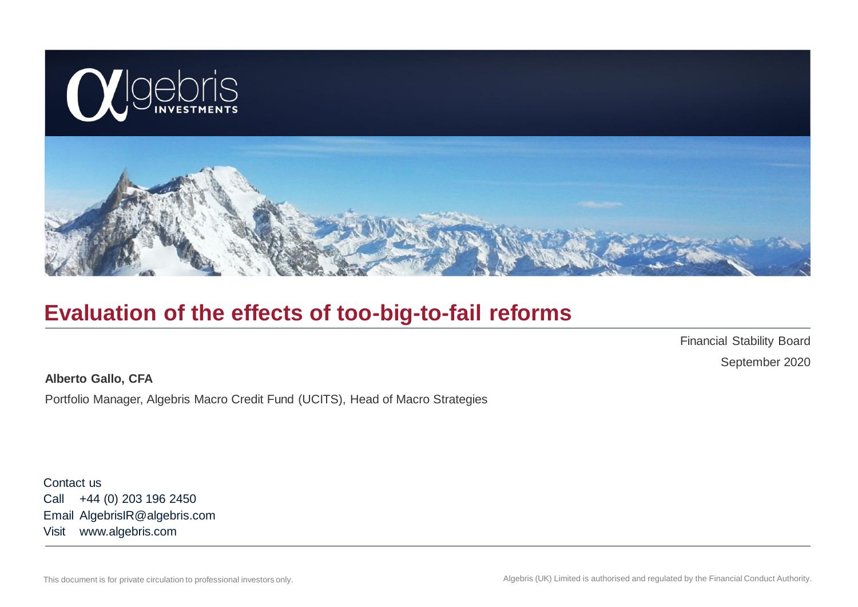

### **Evaluation of the effects of too-big-to-fail reforms**

Financial Stability Board September 2020

**Alberto Gallo, CFA**

Portfolio Manager, Algebris Macro Credit Fund (UCITS), Head of Macro Strategies

Contact us Call +44 (0) 203 196 2450 Email AlgebrisIR@algebris.com Visit www.algebris.com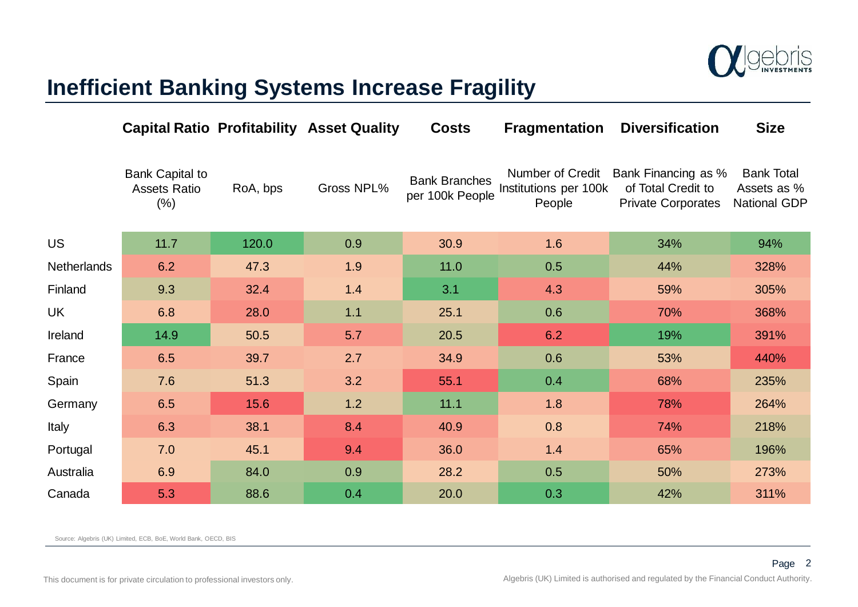

### **Inefficient Banking Systems Increase Fragility**

|                    |                                                          |          | <b>Capital Ratio Profitability Asset Quality</b> | <b>Costs</b>                            | <b>Fragmentation</b>                                | <b>Diversification</b>                                                 | <b>Size</b>                                      |
|--------------------|----------------------------------------------------------|----------|--------------------------------------------------|-----------------------------------------|-----------------------------------------------------|------------------------------------------------------------------------|--------------------------------------------------|
|                    | <b>Bank Capital to</b><br><b>Assets Ratio</b><br>$(\% )$ | RoA, bps | Gross NPL%                                       | <b>Bank Branches</b><br>per 100k People | Number of Credit<br>Institutions per 100k<br>People | Bank Financing as %<br>of Total Credit to<br><b>Private Corporates</b> | <b>Bank Total</b><br>Assets as %<br>National GDP |
| <b>US</b>          | 11.7                                                     | 120.0    | 0.9                                              | 30.9                                    | 1.6                                                 | 34%                                                                    | 94%                                              |
| <b>Netherlands</b> | 6.2                                                      | 47.3     | 1.9                                              | 11.0                                    | 0.5                                                 | 44%                                                                    | 328%                                             |
| Finland            | 9.3                                                      | 32.4     | 1.4                                              | 3.1                                     | 4.3                                                 | 59%                                                                    | 305%                                             |
| <b>UK</b>          | 6.8                                                      | 28.0     | $1.1$                                            | 25.1                                    | 0.6                                                 | 70%                                                                    | 368%                                             |
| Ireland            | 14.9                                                     | 50.5     | 5.7                                              | 20.5                                    | 6.2                                                 | 19%                                                                    | 391%                                             |
| France             | 6.5                                                      | 39.7     | 2.7                                              | 34.9                                    | 0.6                                                 | 53%                                                                    | 440%                                             |
| Spain              | 7.6                                                      | 51.3     | 3.2                                              | 55.1                                    | 0.4                                                 | 68%                                                                    | 235%                                             |
| Germany            | 6.5                                                      | 15.6     | 1.2                                              | 11.1                                    | 1.8                                                 | 78%                                                                    | 264%                                             |
| Italy              | 6.3                                                      | 38.1     | 8.4                                              | 40.9                                    | 0.8                                                 | 74%                                                                    | 218%                                             |
| Portugal           | 7.0                                                      | 45.1     | 9.4                                              | 36.0                                    | 1.4                                                 | 65%                                                                    | 196%                                             |
| Australia          | 6.9                                                      | 84.0     | 0.9                                              | 28.2                                    | 0.5                                                 | 50%                                                                    | 273%                                             |
| Canada             | 5.3                                                      | 88.6     | 0.4                                              | 20.0                                    | 0.3                                                 | 42%                                                                    | 311%                                             |

Source: Algebris (UK) Limited, ECB, BoE, World Bank, OECD, BIS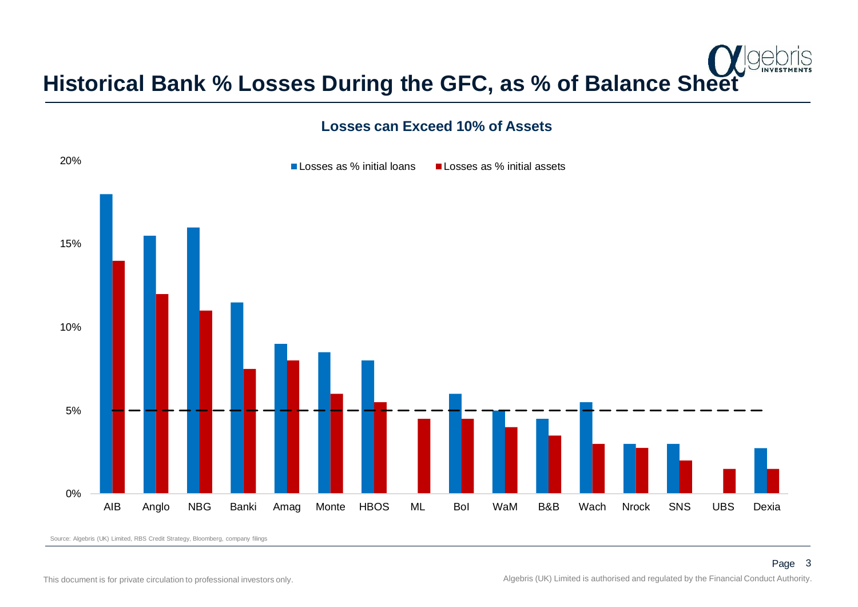

### **Losses can Exceed 10% of Assets**



Source: Algebris (UK) Limited, RBS Credit Strategy, Bloomberg, company filings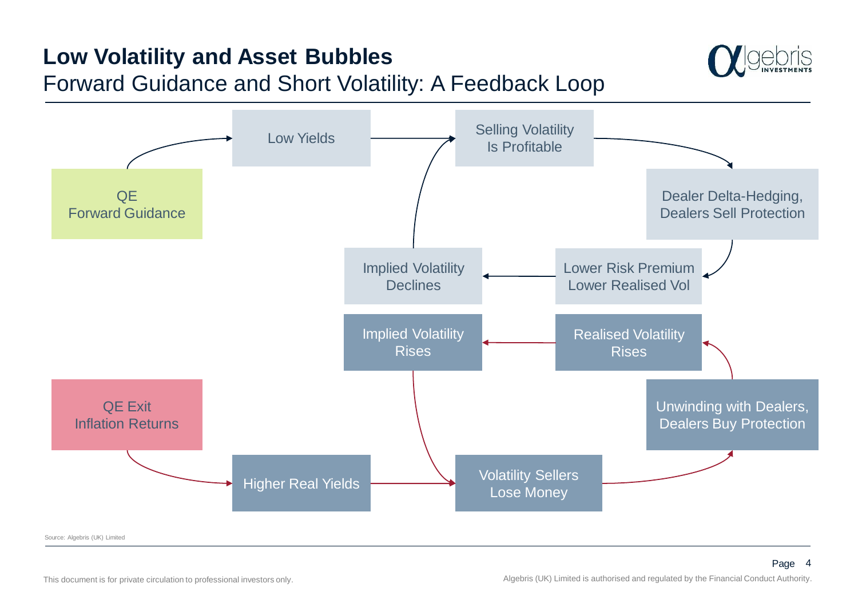# **Low Volatility and Asset Bubbles**

### Forward Guidance and Short Volatility: A Feedback Loop





Source: Algebris (UK) Limited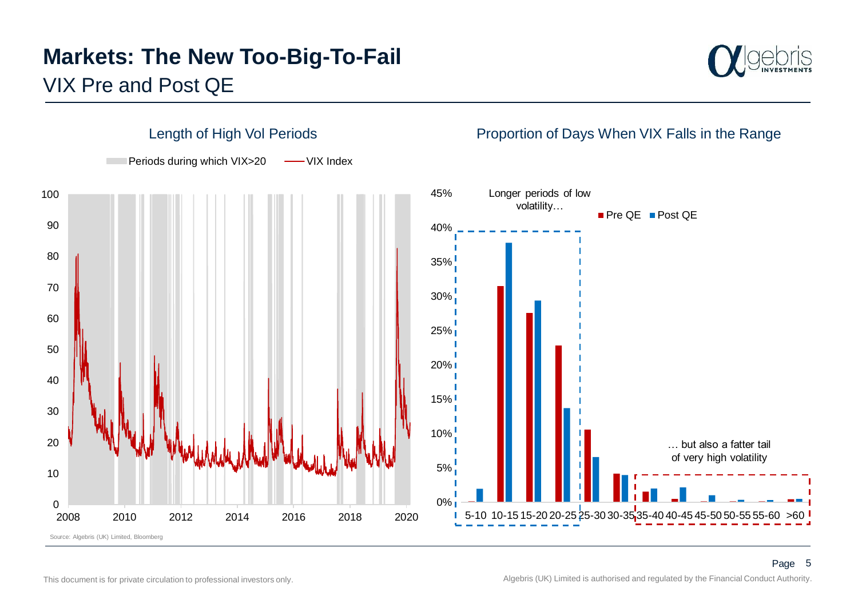# VIX Pre and Post QE **Markets: The New Too-Big-To-Fail**



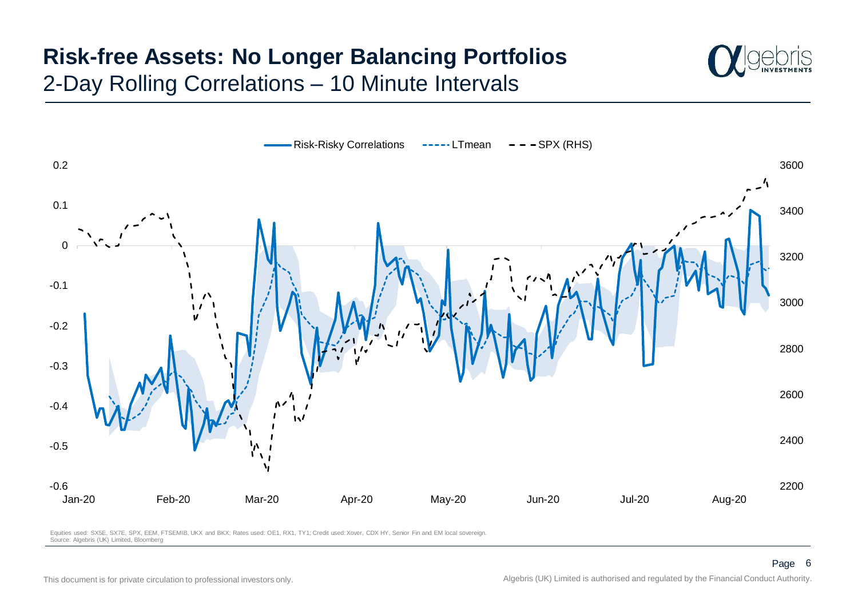# 2-Day Rolling Correlations – 10 Minute Intervals **Risk-free Assets: No Longer Balancing Portfolios**





Equities used: SX5E, SX7E, SPX, EEM, FTSEMIB, UKX and BKX; Rates used: OE1, RX1, TY1; Credit used: Xover, CDX HY, Senior Fin and EM local sovereign. Source: Algebris (UK) Limited, Bloomberg

0.2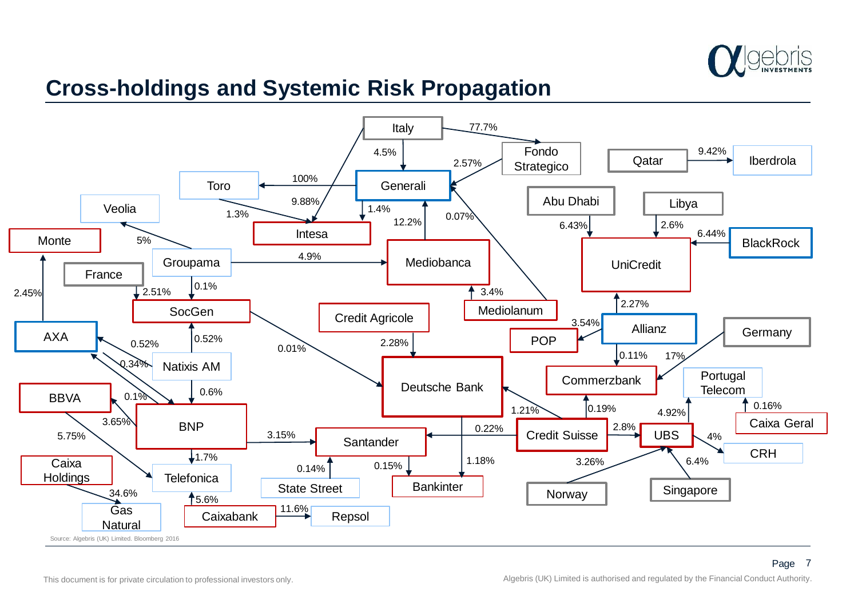

### **Cross-holdings and Systemic Risk Propagation**

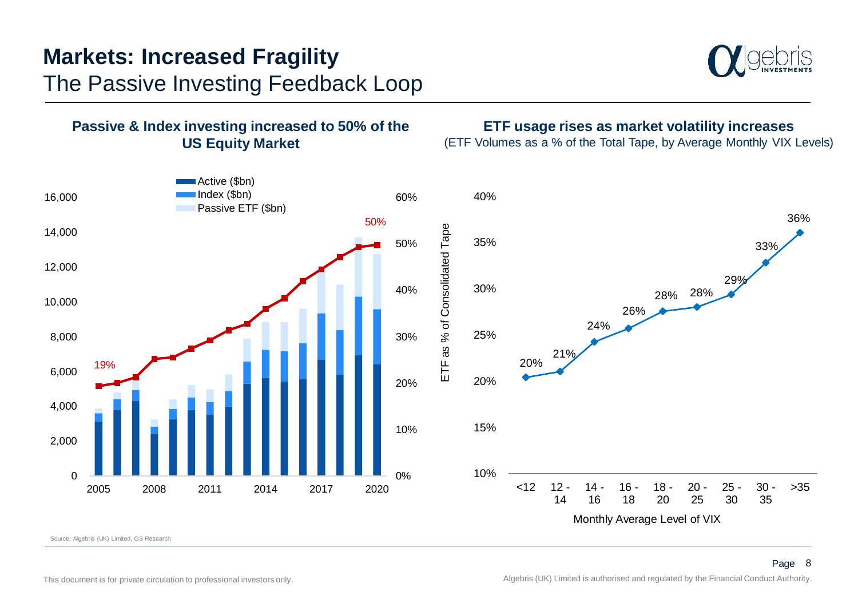# The Passive Investing Feedback Loop **Markets: Increased Fragility**





Source: Algebris (UK) Limited, GS Research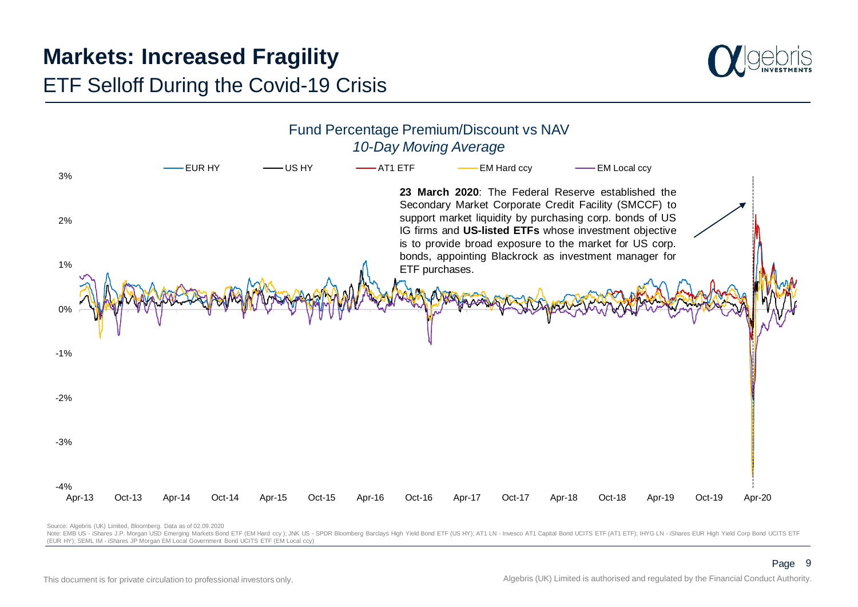# **Markets: Increased Fragility**



### ETF Selloff During the Covid-19 Crisis



Source: Algebris (UK) Limited, Bloomberg. Data as of 02.09.2020

Note: EMB US - iShares J.P. Morgan USD Emerging Markets Bond ETF (EM Hard ccy); JNK US - SPDR Bloomberg Barclays High Yield Bond ETF (US HY); AT1 LN - Invesco AT1 Capital Bond UCITS ETF (AT1 ETF); IHYG LN - iShares EUR Hig (EUR HY); SEML IM - iShares JP Morgan EM Local Government Bond UCITS ETF (EM Local ccy)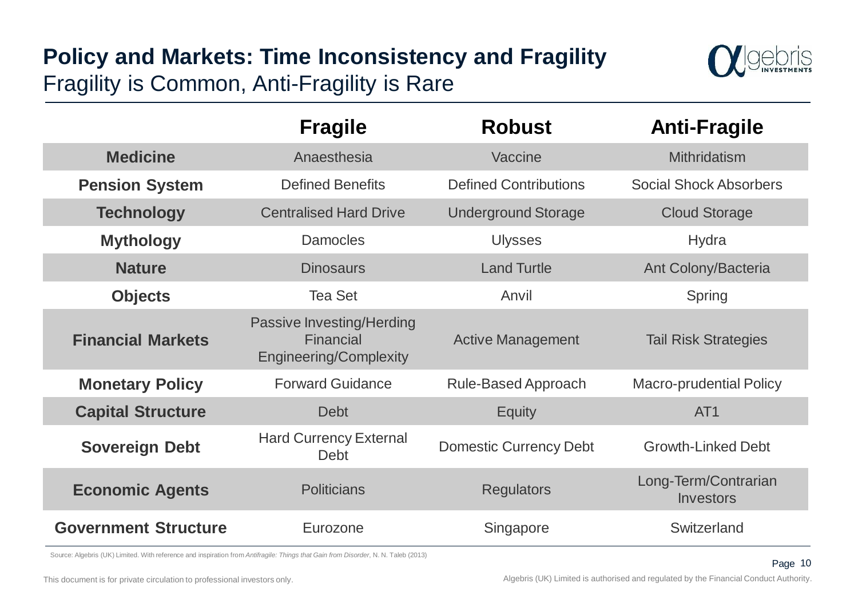# Fragility is Common, Anti-Fragility is Rare **Policy and Markets: Time Inconsistency and Fragility**



|                             | <b>Fragile</b>                                                          | <b>Robust</b>                 | <b>Anti-Fragile</b>               |  |
|-----------------------------|-------------------------------------------------------------------------|-------------------------------|-----------------------------------|--|
| <b>Medicine</b>             | Anaesthesia                                                             | Vaccine                       | <b>Mithridatism</b>               |  |
| <b>Pension System</b>       | <b>Defined Benefits</b>                                                 | <b>Defined Contributions</b>  | <b>Social Shock Absorbers</b>     |  |
| <b>Technology</b>           | <b>Centralised Hard Drive</b>                                           | <b>Underground Storage</b>    | <b>Cloud Storage</b>              |  |
| <b>Mythology</b>            | <b>Damocles</b>                                                         | <b>Ulysses</b>                | Hydra                             |  |
| <b>Nature</b>               | <b>Dinosaurs</b>                                                        | <b>Land Turtle</b>            | Ant Colony/Bacteria               |  |
| <b>Objects</b>              | <b>Tea Set</b>                                                          | Anvil                         | Spring                            |  |
| <b>Financial Markets</b>    | Passive Investing/Herding<br>Financial<br><b>Engineering/Complexity</b> | <b>Active Management</b>      | <b>Tail Risk Strategies</b>       |  |
| <b>Monetary Policy</b>      | <b>Forward Guidance</b>                                                 | <b>Rule-Based Approach</b>    | <b>Macro-prudential Policy</b>    |  |
| <b>Capital Structure</b>    | <b>Debt</b>                                                             | <b>Equity</b>                 | AT <sub>1</sub>                   |  |
| <b>Sovereign Debt</b>       | <b>Hard Currency External</b><br>Debt                                   | <b>Domestic Currency Debt</b> | <b>Growth-Linked Debt</b>         |  |
| <b>Economic Agents</b>      | <b>Politicians</b>                                                      | <b>Regulators</b>             | Long-Term/Contrarian<br>Investors |  |
| <b>Government Structure</b> | Eurozone                                                                | Singapore                     | Switzerland                       |  |

Source: Algebris (UK) Limited. With reference and inspiration from *Antifragile: Things that Gain from Disorder*, N. N. Taleb (2013)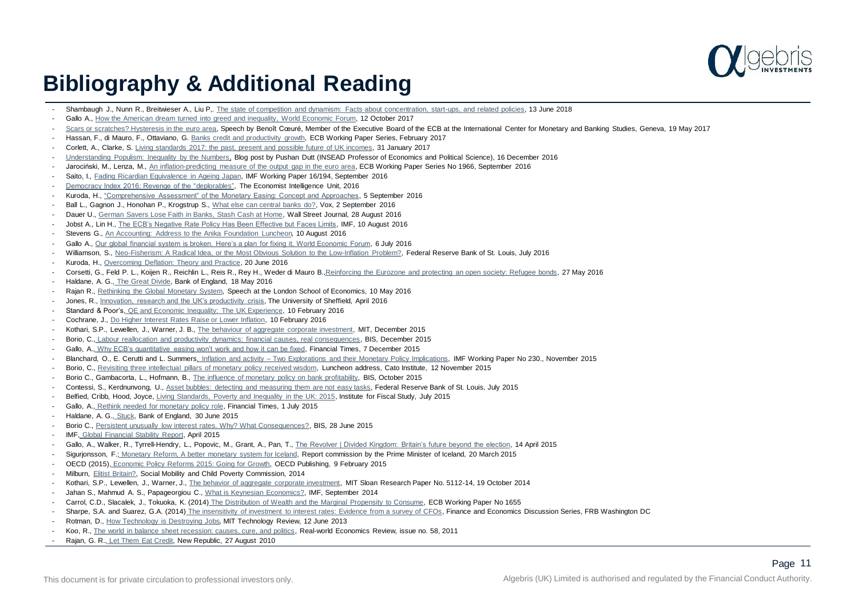

### **Bibliography & Additional Reading**

- Shambaugh J., Nunn R., Breitwieser A., Liu P., [The state of competition and dynamism: Facts about concentration, start-ups, and related policies,](https://www.brookings.edu/research/the-state-of-competition-and-dynamism-facts-about-concentration-start-ups-and-related-policies/) 13 June 2018
- Gallo A., [How the American dream turned into greed and inequality, World Economic Forum](https://www.weforum.org/agenda/2017/11/the-pursuit-of-happiness-how-the-american-dream-turned-into-greed-and-inequality), 12 October 2017
- Scars [or scratches? Hysteresis in the euro area](https://www.ecb.europa.eu/press/key/date/2017/html/ecb.sp170519.en.html), Speech by Benoît Cœuré, Member of the Executive Board of the ECB at the International Center for Monetary and Banking Studies, Geneva, 19 May 2017
- Hassan, F., di Mauro, F., Ottaviano, G. [Banks credit and productivity growth](http://www.ecb.europa.eu/pub/pdf/scpwps/ecbwp2008.en.pdf), ECB Working Paper Series, February 2017
- Corlett, A., Clarke, S. [Living standards 2017: the past, present and possible future of UK incomes,](http://www.resolutionfoundation.org/app/uploads/2017/01/Audit-2017.pdf) 31 January 2017
- [Understanding Populism: Inequality by the Numbers](https://knowledge.insead.edu/blog/insead-blog/understanding-populism-inequality-by-the-numbers-5087), Blog post by Pushan Dutt (INSEAD Professor of Economics and Political Science), 16 December 2016
- Jarociński, M., Lenza, M., [An inflation-predicting measure of the output gap in the euro area,](https://www.ecb.europa.eu/pub/pdf/scpwps/ecbwp1966.en.pdf?c79b834f95a2971a94c1c47de3685747) ECB Working Paper Series No 1966, September 2016
- Saito, I., [Fading Ricardian Equivalence in Ageing Japan,](http://oecdinsights.org/2016/02/11/a-dash-of-data-spotlight-on-german-households/) IMF Working Paper 16/194, September 2016
- Democracy Index 2016: Revenge of the "deplorables". The Economist Intelligence Unit, 2016
- Kuroda, H., ["Comprehensive Assessment" of the Monetary Easing: Concept and Approaches,](https://www.boj.or.jp/en/announcements/press/koen_2016/data/ko160905a1.pdf) 5 September 2016
- Ball L., Gagnon J., Honohan P., Krogstrup S., [What else can central banks do?,](http://voxeu.org/content/what-else-can-central-banks-do#.V8mNLZWF8-w.twitter) Vox, 2 September 2016
- Dauer U., [German Savers Lose Faith in Banks, Stash Cash at Home,](http://www.wsj.com/articles/german-savers-lose-faith-in-banks-stash-cash-at-home-1472485225) Wall Street Journal, 28 August 2016
- Jobst A., Lin H., [The ECB's Negative Rate Policy Has Been Effective but Faces Limits](https://blog-imfdirect.imf.org/2016/08/10/the-ecbs-negative-rate-policy-has-been-effective-but-faces-limits/), IMF, 10 August 2016
- Stevens G., [An Accounting: Address to the Anika Foundation Luncheon,](http://www.rba.gov.au/speeches/2016/sp-gov-2016-08-10.html) 10 August 2016
- Gallo A., [Our global financial system is broken. Here's a plan for fixing it, World Economic Forum,](https://www.weforum.org/agenda/2016/07/our-global-financial-system-is-broken-here-s-a-plan-for-fixing-it/) 6 July 2016
- Williamson, S., [Neo-Fisherism: A Radical Idea, or the Most Obvious Solution to the Low-Inflation Problem?,](https://www.stlouisfed.org/publications/regional-economist/july-2016/neo-fisherism-a-radical-idea-or-the-most-obvious-solution-to-the-low-inflation-problem) Federal Reserve Bank of St. Louis, July 2016
- Kuroda, H., [Overcoming Deflation: Theory and Practice](http://www.boj.or.jp/en/announcements/press/koen_2016/ko160620a.htm/), 20 June 2016
- Corsetti, G., Feld P. L., Koijen R., Reichlin L., Reis R., Rey H., Weder di Mauro B., Reinforcing [the Eurozone and protecting an open society: Refugee bonds](http://voxeu.org/article/eu-refugee-bonds), 27 May 2016
- Haldane, A. G., [The Great Divide](http://www.bankofengland.co.uk/publications/Documents/speeches/2016/speech908.pdf), Bank of England, 18 May 2016
- Rajan R., [Rethinking the Global Monetary System](https://www.youtube.com/watch?v=SHnCazIdY6I), Speech at the London School of Economics, 10 May 2016
- Jones, R., [Innovation, research and the UK's productivity crisis,](http://speri.dept.shef.ac.uk/wp-content/uploads/2016/04/SPERI-Paper-28-Innovation-research-and-the-UK-productivity-crisis.pdf) The University of Sheffield, April 2016
- Standard & Poor's, [QE and Economic Inequality: The UK Experience,](https://www.globalcreditportal.com/ratingsdirect/renderArticle.do?articleId=1575960&SctArtId=369528&from=CM&nsl_code=LIME&sourceObjectId=9457867&sourceRevId=1&fee_ind=N&exp_date=20260209-16:20:09) 10 February 2016
- Cochrane, J., [Do Higher Interest Rates Raise or Lower Inflation](http://faculty.chicagobooth.edu/john.cochrane/research/papers/fisher.pdf), 10 February 2016
- Kothari, S.P., Lewellen, J., Warner, J. B., [The behaviour of aggregate corporate investment,](http://faculty.tuck.dartmouth.edu/images/uploads/faculty/jonathan-lewellen/AggregateInvestment.pdf) MIT, December 2015
- Borio, C., [Labour reallocation and productivity dynamics: financial causes, real consequences,](http://www.bis.org/publ/work534.pdf) BIS, December 2015
- Gallo, A., [Why ECB's quantitative easing won't work and how it can be fixed,](http://www.ft.com/intl/cms/s/0/5f7e946c-9a77-11e5-9228-87e603d47bdc.html#axzz4AWeeO314) Financial Times, 7 December 2015
- Blanchard, O., E. Cerutti and L. Summers, Inflation and activity [Two Explorations and their Monetary Policy Implications,](https://www.imf.org/external/pubs/ft/wp/2015/wp15230.pdf) IMF Working Paper No 230., November 2015
- Borio, C., [Revisiting three intellectual pillars of monetary policy received wisdom,](http://www.bis.org/speeches/sp151112.pdf) Luncheon address, Cato Institute, 12 November 2015
- Borio C., Gambacorta, L., Hofmann, B., [The influence of monetary policy on bank profitability](http://www.bis.org/publ/work514.pdf), BIS, October 2015
- Contessi, S., Kerdnunvong, U., [Asset bubbles: detecting and measuring them are not easy tasks,](https://www.stlouisfed.org/publications/regional-economist/july-2015/asset-bubbles-detecting-and-measuring-them-are-not-easy-tasks) Federal Reserve Bank of St. Louis, July 2015
- Belfied, Cribb, Hood, Joyce, [Living Standards, Poverty and Inequality in the UK: 2015](https://www.ifs.org.uk/uploads/publications/comms/R107.pdf), Institute for Fiscal Study, July 2015
- Gallo, A., [Rethink needed for monetary policy role](http://www.ft.com/intl/cms/s/0/92605c96-1b4f-11e5-a130-2e7db721f996.html#axzz4ALWIKi95). Financial Times, 1 July 2015
- Haldane, A. G., [Stuck,](http://www.bankofengland.co.uk/publications/Documents/speeches/2015/speech828.pdf) Bank of England, 30 June 2015
- Borio C., [Persistent unusually low interest rates. Why? What Consequences?,](http://www.bis.org/speeches/sp150628a.htm) BIS, 28 June 2015
- IMF, [Global Financial Stability Report,](http://www.imf.org/external/pubs/ft/gfsr/2015/01/pdf/text.pdf) April 2015
- Gallo, A., Walker, R., Tyrrell-Hendry, L., Popovic, M., Grant, A., Pan, T., [The Revolver | Divided Kingdom: Britain's future beyond the election,](https://strategy.rbsm.com/Tools/Resources/.pdf?key=ot1Z5Kloqzj_IBSf7e7nc8YYdfYnIjGo) 14 April 2015
- Sigurionsson, F.; [Monetary Reform, A better monetary system for Iceland,](http://financematters.co/wp-content/uploads/2015/05/2015-05-RBS-MACRO-CREDIT-Debt-and-Inequality-For-update.pdf) Report commission by the Prime Minister of Iceland, 20 March 2015
- OECD (2015), [Economic Policy Reforms 2015: Going for Growth,](http://www.oecd-ilibrary.org/economics/economic-policy-reforms-2015_growth-2015-en) OECD Publishing, 9 February 2015
- Milburn, [Elitist Britain?,](https://www.gov.uk/government/uploads/system/uploads/attachment_data/file/347915/Elitist_Britain_-_Final.pdf) Social Mobility and Child Poverty Commission, 2014
- Kothari, S.P., Lewellen, J., Warner, J., [The behavior of aggregate corporate investment,](http://faculty.tuck.dartmouth.edu/images/uploads/faculty/jonathan-lewellen/AggregateInvestment.pdf) MIT Sloan Research Paper No. 5112-14, 19 October 2014
- Jahan S., Mahmud A. S., Papageorgiou C., [What is Keynesian Economics?,](http://www.imf.org/external/pubs/ft/fandd/2014/09/basics.htm) IMF, September 2014
- Carrol, C.D., Slacalek, J., Tokuoka, K. (2014) [The Distribution of Wealth and the Marginal Propensity to Consume,](http://www.ecb.europa.eu/pub/pdf/scpwps/ecbwp1655.pdf) ECB Working Paper No 1655
- Sharpe, S.A. and Suarez, G.A. (2014) [The insensitivity of investment to interest rates: Evidence from a survey of CFOs](http://www.federalreserve.gov/pubs/feds/2014/201402/201402pap.pdf), Finance and Economics Discussion Series, FRB Washington DC
- Rotman, D., [How Technology is Destroying Jobs](https://www.technologyreview.com/s/515926/how-technology-is-destroying-jobs/), MIT Technology Review, 12 June 2013
- Koo, R., [The world in balance sheet recession: causes, cure, and politics,](http://www.paecon.net/PAEReview/issue58/Koo58.pdf) Real-world Economics Review, issue no. 58, 2011
- Rajan, G. R., [Let Them Eat Credit,](https://newrepublic.com/article/77242/inequality-recession-credit-crunch-let-them-eat-credit) New Republic, 27 August 2010